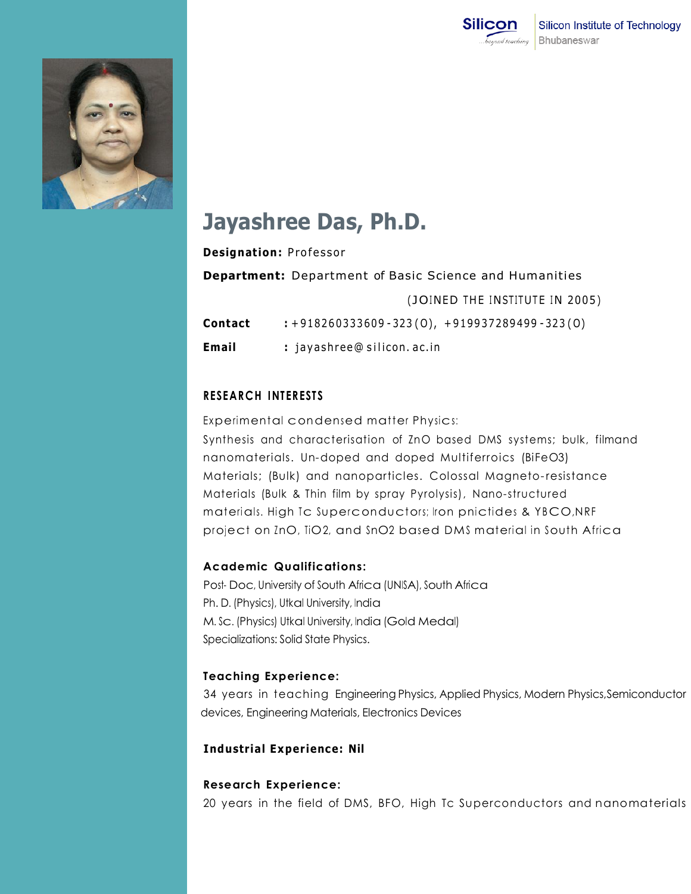



# **Jayashree Das, Ph.D.**

|                                                               | Designation: Professor                             |
|---------------------------------------------------------------|----------------------------------------------------|
| <b>Department:</b> Department of Basic Science and Humanities |                                                    |
|                                                               | (JOINED THE INSTITUTE IN 2005)                     |
| Contact                                                       | $: +918260333609 - 323(0), +919937289499 - 323(0)$ |
| Email                                                         | : jayashree@silicon.ac.in                          |

# **RESEARCH INTERESTS**

Experimental condensed matter Physics:

Synthesis and characterisation of ZnO based DMS systems; bulk, filmand nanomaterials. Un-doped and doped Multiferroics (BiFeO3) Materials; (Bulk) and nanoparticles. Colossal Magneto- resistance Materials (Bulk & Thin film by spray Pyrolysis), Nano-structured materials. High Tc Superconductors; Iron pnictides & YB CO,NRF project on InO, TiO2, and SnO2 based DMS material in South Africa

# **Academic Qualifications:**

Post- Doc, University of South Africa (UNISA), South Africa Ph. D. (Physics), Utkal University, India M. Sc. (Physics) Utkal University, India (Gold Medal) Specializations: Solid State Physics.

# **Teaching Experience:**

34 years in teaching Engineering Physics, Applied Physics, Modern Physics,Semiconductor devices, Engineering Materials, Electronics Devices

# **Industrial Experience: Nil**

# **Research Experience:**

20 years in the field of DMS, BFO, High Tc Superconductors and nanomaterials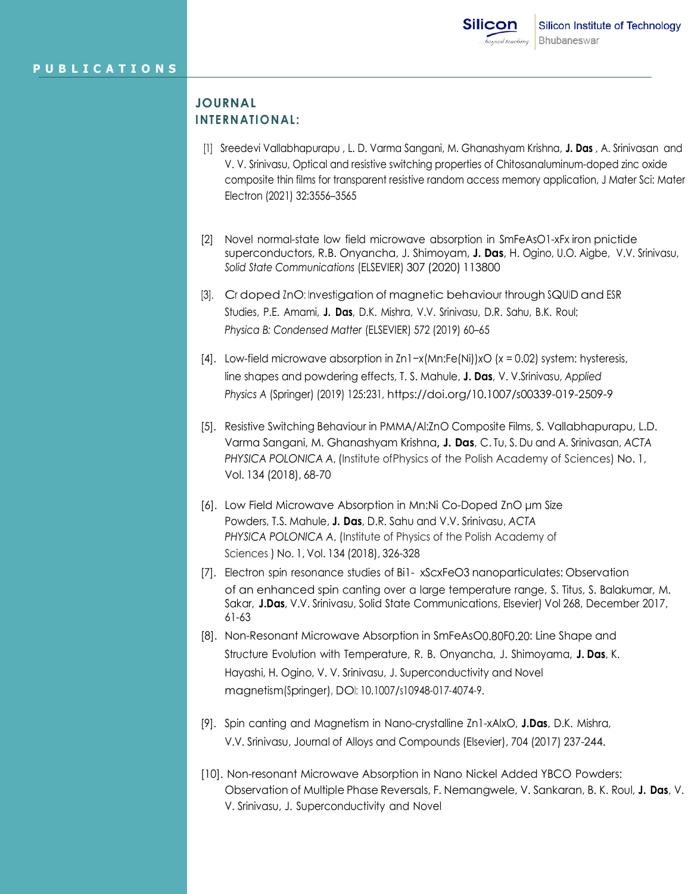# **JOURNAL INTERNATIONAL:**

- [1] Sreedevi Vallabhapurapu , L. D. Varma Sangani, M. Ghanashyam Krishna, **J. Das** , A. Srinivasan and V. V. Srinivasu, Optical and resistive switching properties of Chitosanaluminum-doped zinc oxide composite thin films for transparent resistive random access memory application, J Mater Sci: Mater Electron (2021) 32:3556–3565
- [2] Novel normal-state low field microwave absorption in SmFeAsO1-xFx iron pnictide superconductors, R.B. Onyancha, J. Shimoyam, **J. Das**, H. Ogino, U.O. Aigbe, V.V. Srinivasu, *Solid State Communications* (ELSEVIER) 307 (2020) 113800
- [3]. Cr doped *InO*: Investigation of magnetic behaviour through SQUID and ESR Studies, P.E. Amami, **J. Das**, D.K. Mishra, V.V. Srinivasu, D.R. Sahu, B.K. Roul; *Physica B: Condensed Matter* (ELSEVIER) 572 (2019) 60–65
- [4]. Low-field microwave absorption in Zn1−*x*(Mn:Fe(Ni))*x*O (*x* = 0.02) system: hysteresis, line shapes and powdering effects, T. S. Mahule, **J. Das**, V. V.Srinivasu, *Applied Physics A* (Springer) (2019) 125:231, https://doi.org/10.1007/s00339-019-2509-9
- [5]. Resistive Switching Behaviour in PMMA/Al:ZnO Composite Films, S. Vallabhapurapu, L.D. Varma Sangani, M. Ghanashyam Krishna**, J. Das**, C. Tu, S. Du and A. Srinivasan, *ACTA PHYSICA POLONICA A*, (Institute ofPhysics of the Polish Academy of Sciences) No. 1, Vol. 134 (2018), 68-70
- [6]. Low Field Microwave Absorption in Mn:Ni Co-Doped ZnO μm Size Powders, T.S. Mahule, **J. Das**, D.R. Sahu and V.V. Srinivasu, *ACTA PHYSICA POLONICA A*, (Institute of Physics of the Polish Academy of Sciences ) No. 1, Vol. 134 (2018), 326-328
- [7]. Electron spin resonance studies of Bi1- xScxFeO3 nanoparticulates: Observation of an enhanced spin canting over a large temperature range, S. Titus, S. Balakumar, M. Sakar, **J.Das**, V.V. Srinivasu, Solid State Communications, Elsevier) Vol [268,](https://www.sciencedirect.com/science/journal/00381098/268/supp/C) December 2017, 61-63
- [8]. Non-Resonant Microwave Absorption in SmFeAsO0.80F0.20: Line Shape and Structure Evolution with Temperature, R. B. Onyancha, J. Shimoyama, **J. Das**, K. Hayashi, H. Ogino, V. V. Srinivasu, J. Superconductivity and Novel magnetism(Springer), DOI: 10.1007/s10948-017-4074-9.
- [9]. Spin canting and Magnetism in Nano-crystalline Zn1-xAlxO, **J.Das**, D.K. Mishra, V.V. Srinivasu, Journal of Alloys and Compounds (Elsevier), 704 (2017) 237-244.
- [10]. Non-resonant Microwave Absorption in Nano Nickel Added YBCO Powders: Observation of Multiple Phase Reversals, F. Nemangwele, V. Sankaran, B. K. Roul, **J. Das**, V. V. Srinivasu, J. Superconductivity and Novel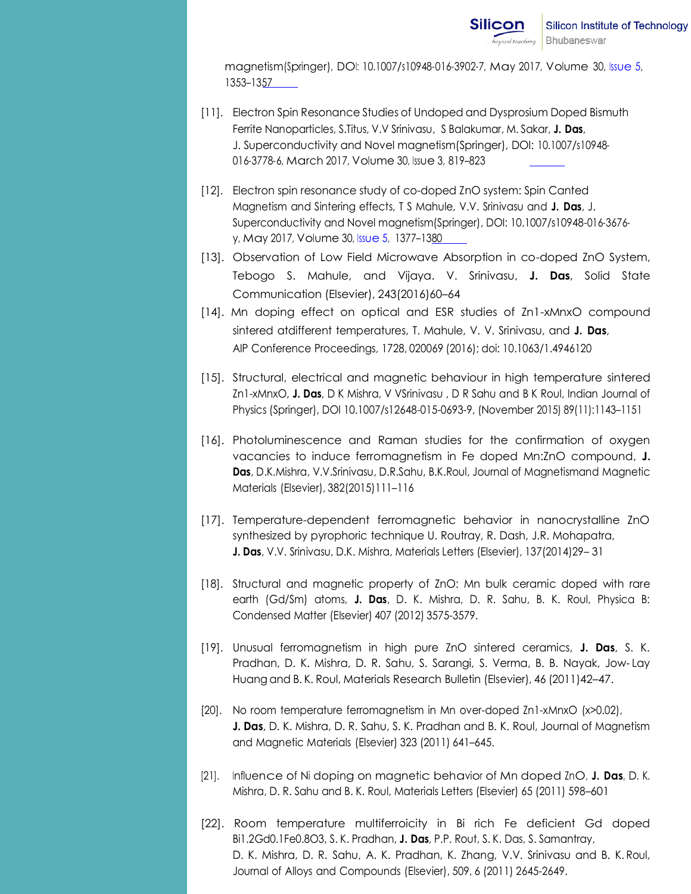magnetism(Springer), DOI: 10.1007/s10948-016-3902-7, May 2017, Volume 30, [Issue](https://link.springer.com/journal/10948/30/5/page/1) 5, 1353–1357

- [11]. Electron Spin Resonance Studies of Undoped and Dysprosium Doped Bismuth Ferrite Nanoparticles, S.Titus, V.V Srinivasu, S Balakumar, M. Sakar, **J. Das**, J. Superconductivity and Novel magnetism(Springer), DOI: 10.1007/s10948- 016-3778-6, March 2017, Volume 30, [Issue](https://link.springer.com/journal/10948/30/3/page/1) 3, 819–823
- [12]. Electron spin resonance study of co-doped ZnO system: Spin Canted Magnetism and Sintering effects, T S Mahule, V.V. Srinivasu and **J. Das**, J. Superconductivity and Novel magnetism(Springer), DOI: 10.1007/s10948-016-3676 y, May 2017, Volume 30, [Issue](https://link.springer.com/journal/10948/30/5/page/1) 5, 1377–1380
- [13]. Observation of Low Field Microwave Absorption in co-doped ZnO System, Tebogo S. Mahule, and Vijaya. V. Srinivasu, **J. Das**, Solid State Communication (Elsevier), 243(2016)60-64
- [14]. Mn doping effect on optical and ESR studies of Zn1-xMnxO compound sintered atdifferent temperatures, T. Mahule, V. V. Srinivasu, and **J. Das**, AIP Conference Proceedings, 1728, 020069 (2016); doi: 10.1063/1.4946120
- [15]. Structural, electrical and magnetic behaviour in high temperature sintered Zn1-xMnxO, **J. Das**, D K Mishra, V VSrinivasu , D R Sahu and B K Roul, Indian Journal of Physics (Springer), DOI 10.1007/s12648-015-0693-9, (November 2015) 89(11):1143–1151
- [16]. Photoluminescence and Raman studies for the confirmation of oxygen vacancies to induce ferromagnetism in Fe doped Mn:ZnO compound, **J. Das**, D.K.Mishra, V.V.Srinivasu, D.R.Sahu, B.K.Roul, Journal of Magnetismand Magnetic Materials (Elsevier), 382(2015)111–116
- [17]. Temperature-dependent ferromagnetic behavior in nanocrystalline ZnO synthesized by pyrophoric technique U. Routray, R. Dash, J.R. Mohapatra, **J. Das**, V.V. Srinivasu, D.K. Mishra, Materials Letters (Elsevier), 137(2014)29– 31
- [18]. Structural and magnetic property of ZnO: Mn bulk ceramic doped with rare earth (Gd/Sm) atoms, **J. Das**, D. K. Mishra, D. R. Sahu, B. K. Roul, Physica B: Condensed Matter (Elsevier) 407 (2012) 3575-3579.
- [19]. Unusual ferromagnetism in high pure ZnO sintered ceramics, **J. Das**, S. K. Pradhan, D. K. Mishra, D. R. Sahu, S. Sarangi, S. Verma, B. B. Nayak, Jow- Lay Huang and B. K. Roul, Materials Research Bulletin (Elsevier), 46 (2011)42–47.
- [20]. No room temperature ferromagnetism in Mn over-doped Zn1-xMnxO (x>0.02), **J. Das**, D. K. Mishra, D. R. Sahu, S. K. Pradhan and B. K. Roul, Journal of Magnetism and Magnetic Materials (Elsevier) 323 (2011) 641–645.
- [21]. Influence of Ni doping on magnetic behavior of Mn doped ZnO, **J. Das**, D. K. Mishra, D. R. Sahu and B. K. Roul, Materials Letters (Elsevier) 65 (2011) 598–601
- [22]. Room temperature multiferroicity in Bi rich Fe deficient Gd doped Bi1.2Gd0.1Fe0.8O3, S. K. Pradhan, **J. Das**, P.P. Rout, S. K. Das, S. Samantray, D. K. Mishra, D. R. Sahu, A. K. Pradhan, K. Zhang, V.V. Srinivasu and B. K. Roul, Journal of Alloys and Compounds (Elsevier), 509, 6 (2011) 2645-2649.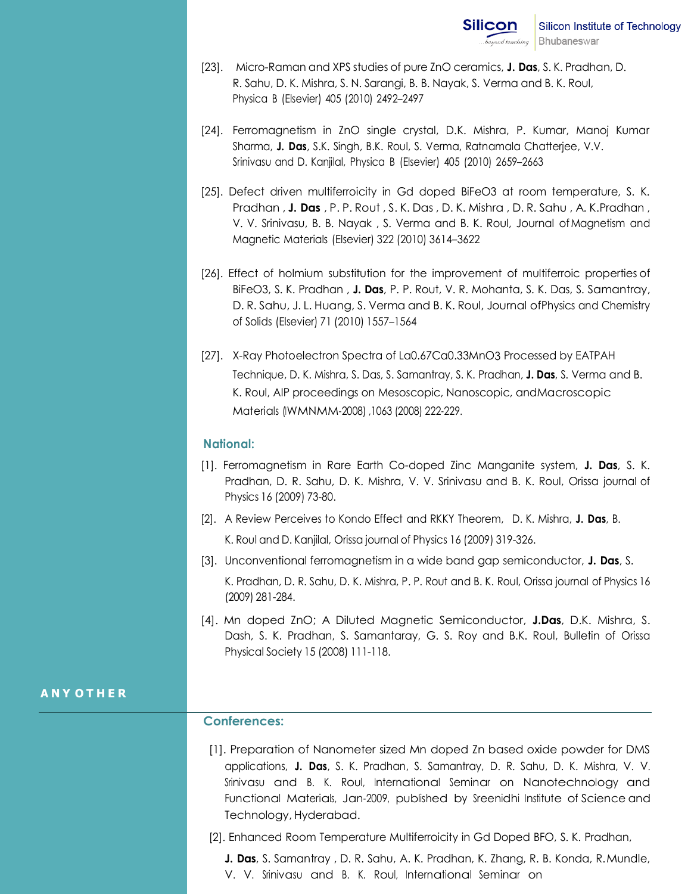- [23]. Micro-Raman and XPS studies of pure ZnO ceramics, **J. Das**, S. K. Pradhan, D. R. Sahu, D. K. Mishra, S. N. Sarangi, B. B. Nayak, S. Verma and B. K. Roul, Physica B (Elsevier) 405 (2010) 2492–2497
- [24]. Ferromagnetism in ZnO single crystal, D.K. Mishra, P. Kumar, Manoj Kumar Sharma, **J. Das**, S.K. Singh, B.K. Roul, S. Verma, Ratnamala Chatterjee, V.V. Srinivasu and D. Kanjilal, Physica B (Elsevier) 405 (2010) 2659–2663
- [25]. Defect driven multiferroicity in Gd doped BiFeO3 at room temperature, S. K. Pradhan , **J. Das** , P. P. Rout , S. K. Das , D. K. Mishra , D. R. Sahu , A. K.Pradhan , V. V. Srinivasu, B. B. Nayak , S. Verma and B. K. Roul, Journal ofMagnetism and Magnetic Materials (Elsevier) 322 (2010) 3614–3622
- [26]. Effect of holmium substitution for the improvement of multiferroic properties of BiFeO3, S. K. Pradhan , **J. Das**, P. P. Rout, V. R. Mohanta, S. K. Das, S. Samantray, D. R. Sahu, J. L. Huang, S. Verma and B. K. Roul, Journal ofPhysics and Chemistry of Solids (Elsevier) 71 (2010) 1557–1564
- [27]. X-Ray Photoelectron Spectra of La0.67Ca0.33MnO3 Processed by EATPAH Technique, D. K. Mishra, S. Das, S. Samantray, S. K. Pradhan, **J. Das**, S. Verma and B. K. Roul, AIP proceedings on Mesoscopic, Nanoscopic, andMacroscopic Materials (IWMNMM-2008) ,1063 (2008) 222-229.

#### **National:**

- [1]. Ferromagnetism in Rare Earth Co-doped Zinc Manganite system, **J. Das**, S. K. Pradhan, D. R. Sahu, D. K. Mishra, V. V. Srinivasu and B. K. Roul, Orissa journal of Physics 16 (2009) 73-80.
- [2]. A Review Perceives to Kondo Effect and RKKY Theorem, D. K. Mishra, **J. Das**, B. K. Roul and D. Kanjilal, Orissa journal of Physics 16 (2009) 319-326.
- [3]. Unconventional ferromagnetism in a wide band gap semiconductor, **J. Das**, S.

K. Pradhan, D. R. Sahu, D. K. Mishra, P. P. Rout and B. K. Roul, Orissa journal of Physics 16 (2009) 281-284.

[4]. Mn doped ZnO; A Diluted Magnetic Semiconductor, **J.Das**, D.K. Mishra, S. Dash, S. K. Pradhan, S. Samantaray, G. S. Roy and B.K. Roul, Bulletin of Orissa Physical Society 15 (2008) 111-118.

### **A N Y O T H E R**

### **Conferences:**

- [1]. Preparation of Nanometer sized Mn doped Zn based oxide powder for DMS applications, **J. Das**, S. K. Pradhan, S. Samantray, D. R. Sahu, D. K. Mishra, V. V. Srinivasu and B. K. Roul, International Seminar on Nanotechnology and Functional Materials, Jan-2009, published by Sreenidhi Institute of Science and Technology, Hyderabad.
- [2]. Enhanced Room Temperature Multiferroicity in Gd Doped BFO, S. K. Pradhan,

**J. Das**, S. Samantray , D. R. Sahu, A. K. Pradhan, K. Zhang, R. B. Konda, R.Mundle, V. V. Srinivasu and B. K. Roul, International Seminar on